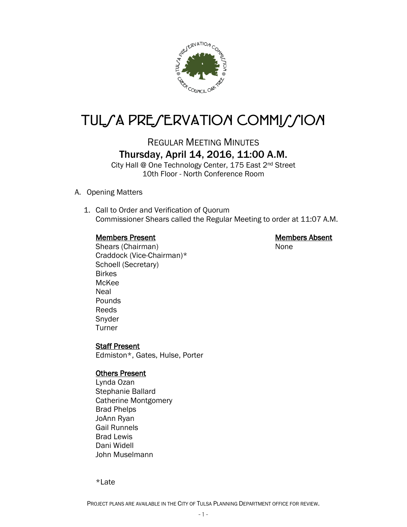

# TULSA PRESERVATION COMMISSION

# REGULAR MEETING MINUTES Thursday, April 14, 2016, 11:00 A.M.

City Hall @ One Technology Center, 175 East 2nd Street 10th Floor - North Conference Room

- A. Opening Matters
	- 1. Call to Order and Verification of Quorum Commissioner Shears called the Regular Meeting to order at 11:07 A.M.

## Members Present Nembers Absent

Shears (Chairman) None Craddock (Vice-Chairman)\* Schoell (Secretary) Birkes McKee Neal Pounds Reeds Snyder Turner

# Staff Present

Edmiston\*, Gates, Hulse, Porter

#### **Others Present**

Lynda Ozan Stephanie Ballard Catherine Montgomery Brad Phelps JoAnn Ryan Gail Runnels Brad Lewis Dani Widell John Muselmann

\*Late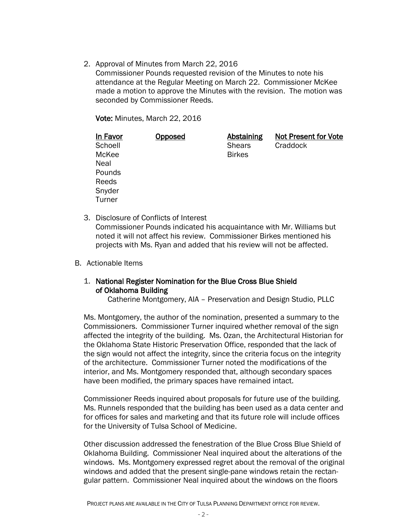2. Approval of Minutes from March 22, 2016

Commissioner Pounds requested revision of the Minutes to note his attendance at the Regular Meeting on March 22. Commissioner McKee made a motion to approve the Minutes with the revision. The motion was seconded by Commissioner Reeds.

Vote: Minutes, March 22, 2016

| In Favor | <u>Opposed</u> | <b>Abstaining</b> | <b>Not Present for Vote</b> |
|----------|----------------|-------------------|-----------------------------|
| Schoell  |                | <b>Shears</b>     | Craddock                    |
| McKee    |                | <b>Birkes</b>     |                             |
| Neal     |                |                   |                             |
| Pounds   |                |                   |                             |
| Reeds    |                |                   |                             |
| Snyder   |                |                   |                             |
| Turner   |                |                   |                             |

- 3. Disclosure of Conflicts of Interest Commissioner Pounds indicated his acquaintance with Mr. Williams but noted it will not affect his review. Commissioner Birkes mentioned his projects with Ms. Ryan and added that his review will not be affected.
- B. Actionable Items

# 1. National Register Nomination for the Blue Cross Blue Shield of Oklahoma Building

Catherine Montgomery, AIA – Preservation and Design Studio, PLLC

Ms. Montgomery, the author of the nomination, presented a summary to the Commissioners. Commissioner Turner inquired whether removal of the sign affected the integrity of the building. Ms. Ozan, the Architectural Historian for the Oklahoma State Historic Preservation Office, responded that the lack of the sign would not affect the integrity, since the criteria focus on the integrity of the architecture. Commissioner Turner noted the modifications of the interior, and Ms. Montgomery responded that, although secondary spaces have been modified, the primary spaces have remained intact.

Commissioner Reeds inquired about proposals for future use of the building. Ms. Runnels responded that the building has been used as a data center and for offices for sales and marketing and that its future role will include offices for the University of Tulsa School of Medicine.

Other discussion addressed the fenestration of the Blue Cross Blue Shield of Oklahoma Building. Commissioner Neal inquired about the alterations of the windows. Ms. Montgomery expressed regret about the removal of the original windows and added that the present single-pane windows retain the rectangular pattern. Commissioner Neal inquired about the windows on the floors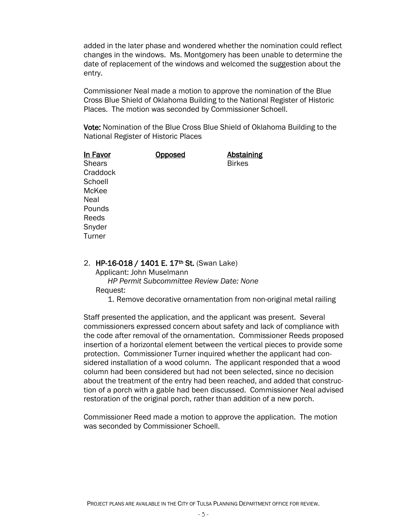added in the later phase and wondered whether the nomination could reflect changes in the windows. Ms. Montgomery has been unable to determine the date of replacement of the windows and welcomed the suggestion about the entry.

Commissioner Neal made a motion to approve the nomination of the Blue Cross Blue Shield of Oklahoma Building to the National Register of Historic Places. The motion was seconded by Commissioner Schoell.

Vote: Nomination of the Blue Cross Blue Shield of Oklahoma Building to the National Register of Historic Places

| In Favor      | Opposed | <b>Abstaining</b> |
|---------------|---------|-------------------|
| <b>Shears</b> |         | <b>Birkes</b>     |
| Craddock      |         |                   |
| Schoell       |         |                   |
| McKee         |         |                   |
| <b>Neal</b>   |         |                   |
| Pounds        |         |                   |
| Reeds         |         |                   |
| Snyder        |         |                   |
| Turner        |         |                   |
|               |         |                   |

#### 2. HP-16-018 / 1401 E. 17<sup>th</sup> St. (Swan Lake)

Applicant: John Muselmann

 *HP Permit Subcommittee Review Date: None* Request:

1. Remove decorative ornamentation from non-original metal railing

Staff presented the application, and the applicant was present. Several commissioners expressed concern about safety and lack of compliance with the code after removal of the ornamentation. Commissioner Reeds proposed insertion of a horizontal element between the vertical pieces to provide some protection. Commissioner Turner inquired whether the applicant had considered installation of a wood column. The applicant responded that a wood column had been considered but had not been selected, since no decision about the treatment of the entry had been reached, and added that construction of a porch with a gable had been discussed. Commissioner Neal advised restoration of the original porch, rather than addition of a new porch.

Commissioner Reed made a motion to approve the application. The motion was seconded by Commissioner Schoell.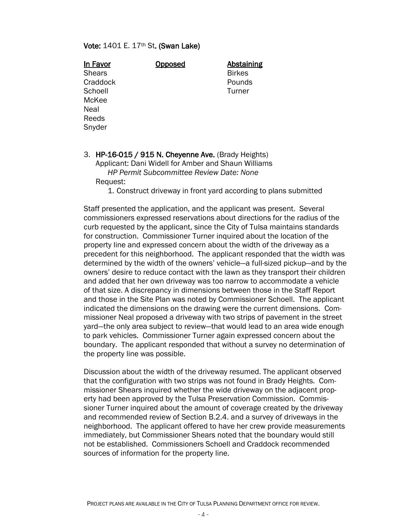#### Vote: 1401 E. 17th St. (Swan Lake)

| <b>Opposed</b> | Abstai        |
|----------------|---------------|
|                | <b>Birkes</b> |
|                | Pound         |
|                | Turner        |
|                |               |
|                |               |
|                |               |
|                |               |
|                |               |

Opposed Abstaining Pounds **Turner** 

#### 3. HP-16-015 / 915 N. Cheyenne Ave. (Brady Heights) Applicant: Dani Widell for Amber and Shaun Williams *HP Permit Subcommittee Review Date: None* Request:

1. Construct driveway in front yard according to plans submitted

Staff presented the application, and the applicant was present. Several commissioners expressed reservations about directions for the radius of the curb requested by the applicant, since the City of Tulsa maintains standards for construction. Commissioner Turner inquired about the location of the property line and expressed concern about the width of the driveway as a precedent for this neighborhood. The applicant responded that the width was determined by the width of the owners' vehicle—a full-sized pickup—and by the owners' desire to reduce contact with the lawn as they transport their children and added that her own driveway was too narrow to accommodate a vehicle of that size. A discrepancy in dimensions between those in the Staff Report and those in the Site Plan was noted by Commissioner Schoell. The applicant indicated the dimensions on the drawing were the current dimensions. Commissioner Neal proposed a driveway with two strips of pavement in the street yard—the only area subject to review—that would lead to an area wide enough to park vehicles. Commissioner Turner again expressed concern about the boundary. The applicant responded that without a survey no determination of the property line was possible.

Discussion about the width of the driveway resumed. The applicant observed that the configuration with two strips was not found in Brady Heights. Commissioner Shears inquired whether the wide driveway on the adjacent property had been approved by the Tulsa Preservation Commission. Commissioner Turner inquired about the amount of coverage created by the driveway and recommended review of Section B.2.4. and a survey of driveways in the neighborhood. The applicant offered to have her crew provide measurements immediately, but Commissioner Shears noted that the boundary would still not be established. Commissioners Schoell and Craddock recommended sources of information for the property line.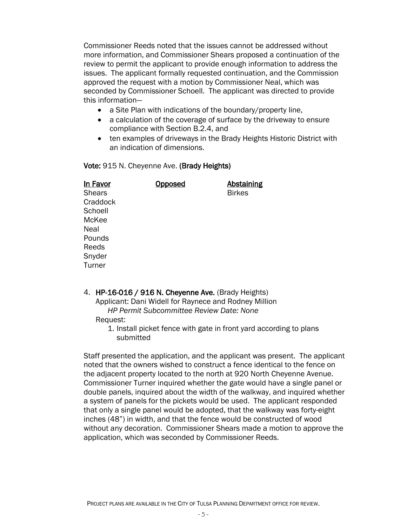Commissioner Reeds noted that the issues cannot be addressed without more information, and Commissioner Shears proposed a continuation of the review to permit the applicant to provide enough information to address the issues. The applicant formally requested continuation, and the Commission approved the request with a motion by Commissioner Neal, which was seconded by Commissioner Schoell. The applicant was directed to provide this information—

- a Site Plan with indications of the boundary/property line,
- a calculation of the coverage of surface by the driveway to ensure compliance with Section B.2.4, and
- ten examples of driveways in the Brady Heights Historic District with an indication of dimensions.

#### Vote: 915 N. Cheyenne Ave. (Brady Heights)

| In Favor      | <b>Opposed</b> | <b>Abstaining</b> |
|---------------|----------------|-------------------|
| <b>Shears</b> |                | <b>Birkes</b>     |
| Craddock      |                |                   |
| Schoell       |                |                   |
| McKee         |                |                   |
| Neal          |                |                   |
| Pounds        |                |                   |
| Reeds         |                |                   |
| Snyder        |                |                   |
| Turner        |                |                   |
|               |                |                   |

4. HP-16-016 / 916 N. Cheyenne Ave. (Brady Heights) Applicant: Dani Widell for Raynece and Rodney Million *HP Permit Subcommittee Review Date: None* Request:

> 1. Install picket fence with gate in front yard according to plans submitted

Staff presented the application, and the applicant was present. The applicant noted that the owners wished to construct a fence identical to the fence on the adjacent property located to the north at 920 North Cheyenne Avenue. Commissioner Turner inquired whether the gate would have a single panel or double panels, inquired about the width of the walkway, and inquired whether a system of panels for the pickets would be used. The applicant responded that only a single panel would be adopted, that the walkway was forty-eight inches (48") in width, and that the fence would be constructed of wood without any decoration. Commissioner Shears made a motion to approve the application, which was seconded by Commissioner Reeds.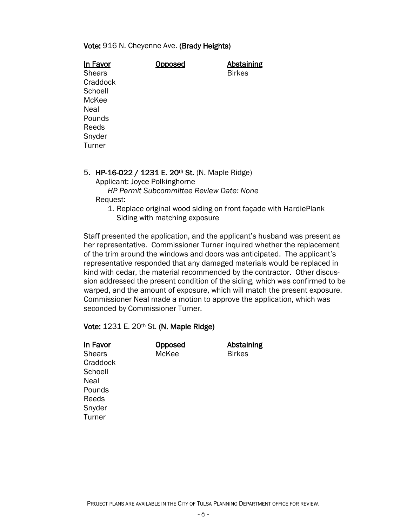#### Vote: 916 N. Cheyenne Ave. (Brady Heights)

|      | In Favor                      | <b>Doposed</b>                                            | <u>Abstaining</u> |
|------|-------------------------------|-----------------------------------------------------------|-------------------|
|      | <b>Shears</b>                 |                                                           | <b>Birkes</b>     |
|      | Craddock                      |                                                           |                   |
|      | Schoell                       |                                                           |                   |
|      | McKee                         |                                                           |                   |
| Neal |                               |                                                           |                   |
|      | Pounds                        |                                                           |                   |
|      | Reeds                         |                                                           |                   |
|      | Snyder                        |                                                           |                   |
|      | Turner                        |                                                           |                   |
|      |                               |                                                           |                   |
| 5.   | Applicant: Joyce Polkinghorne | HP-16-022 / 1231 E. 20 <sup>th</sup> St. (N. Maple Ridge) |                   |
|      |                               | <b>HP Permit Subcommittee Review Date: None</b>           |                   |

Request:

1. Replace original wood siding on front façade with HardiePlank Siding with matching exposure

Staff presented the application, and the applicant's husband was present as her representative. Commissioner Turner inquired whether the replacement of the trim around the windows and doors was anticipated. The applicant's representative responded that any damaged materials would be replaced in kind with cedar, the material recommended by the contractor. Other discussion addressed the present condition of the siding, which was confirmed to be warped, and the amount of exposure, which will match the present exposure. Commissioner Neal made a motion to approve the application, which was seconded by Commissioner Turner.

#### Vote: 1231 E. 20th St. (N. Maple Ridge)

| In Favor      | Opposed | <b>Abstaining</b> |
|---------------|---------|-------------------|
| <b>Shears</b> | McKee   | <b>Birkes</b>     |
| Craddock      |         |                   |
| Schoell       |         |                   |
| Neal          |         |                   |
| Pounds        |         |                   |
| Reeds         |         |                   |
| Snyder        |         |                   |
| Turner        |         |                   |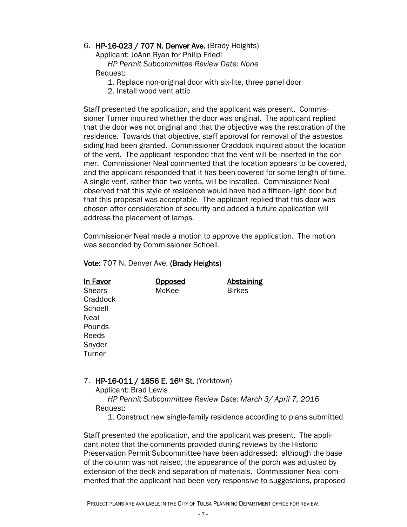# 6. HP-16-023 / 707 N. Denver Ave. (Brady Heights)

Applicant: JoAnn Ryan for Philip Friedl

 *HP Permit Subcommittee Review Date: None* Request:

- 1. Replace non-original door with six-lite, three panel door
- 2. Install wood vent attic

Staff presented the application, and the applicant was present. Commissioner Turner inquired whether the door was original. The applicant replied that the door was not original and that the objective was the restoration of the residence. Towards that objective, staff approval for removal of the asbestos siding had been granted. Commissioner Craddock inquired about the location of the vent. The applicant responded that the vent will be inserted in the dormer. Commissioner Neal commented that the location appears to be covered, and the applicant responded that it has been covered for some length of time. A single vent, rather than two vents, will be installed. Commissioner Neal observed that this style of residence would have had a fifteen-light door but that this proposal was acceptable. The applicant replied that this door was chosen after consideration of security and added a future application will address the placement of lamps.

Commissioner Neal made a motion to approve the application. The motion was seconded by Commissioner Schoell.

#### Vote: 707 N. Denver Ave. (Brady Heights)

| <b>Abstaining</b><br><u>Opposed</u> |  |
|-------------------------------------|--|
| <b>Birkes</b>                       |  |
|                                     |  |
|                                     |  |
|                                     |  |
|                                     |  |
|                                     |  |
|                                     |  |
|                                     |  |
|                                     |  |

# 7. HP-16-011 / 1856 E. 16<sup>th</sup> St. (Yorktown)

Applicant: Brad Lewis

 *HP Permit Subcommittee Review Date: March 3/ April 7, 2016* Request:

1. Construct new single-family residence according to plans submitted

Staff presented the application, and the applicant was present. The applicant noted that the comments provided during reviews by the Historic Preservation Permit Subcommittee have been addressed: although the base of the column was not raised, the appearance of the porch was adjusted by extension of the deck and separation of materials. Commissioner Neal commented that the applicant had been very responsive to suggestions, proposed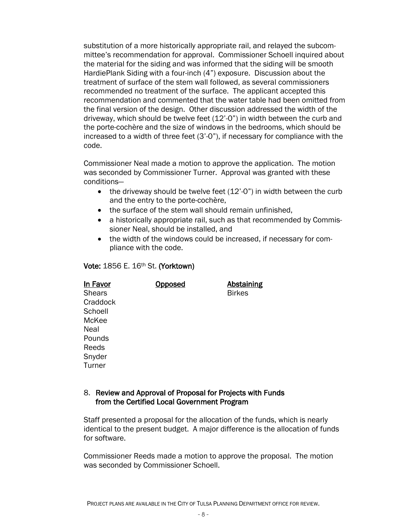substitution of a more historically appropriate rail, and relayed the subcommittee's recommendation for approval. Commissioner Schoell inquired about the material for the siding and was informed that the siding will be smooth HardiePlank Siding with a four-inch (4") exposure. Discussion about the treatment of surface of the stem wall followed, as several commissioners recommended no treatment of the surface. The applicant accepted this recommendation and commented that the water table had been omitted from the final version of the design. Other discussion addressed the width of the driveway, which should be twelve feet (12'-0") in width between the curb and the porte-cochère and the size of windows in the bedrooms, which should be increased to a width of three feet (3'-0"), if necessary for compliance with the code.

Commissioner Neal made a motion to approve the application. The motion was seconded by Commissioner Turner. Approval was granted with these conditions—

- $\bullet$  the driveway should be twelve feet (12'-0") in width between the curb and the entry to the porte-cochère,
- the surface of the stem wall should remain unfinished,
- a historically appropriate rail, such as that recommended by Commissioner Neal, should be installed, and
- the width of the windows could be increased, if necessary for compliance with the code.

# Vote: 1856 E. 16th St. (Yorktown)

| In Favor      | <u>Opposed</u> | <b>Abstaining</b> |
|---------------|----------------|-------------------|
| <b>Shears</b> |                | <b>Birkes</b>     |
| Craddock      |                |                   |
| Schoell       |                |                   |
| McKee         |                |                   |
| Neal          |                |                   |
| Pounds        |                |                   |
| Reeds         |                |                   |
| Snyder        |                |                   |
| Turner        |                |                   |

## 8. Review and Approval of Proposal for Projects with Funds from the Certified Local Government Program

Staff presented a proposal for the allocation of the funds, which is nearly identical to the present budget. A major difference is the allocation of funds for software.

Commissioner Reeds made a motion to approve the proposal. The motion was seconded by Commissioner Schoell.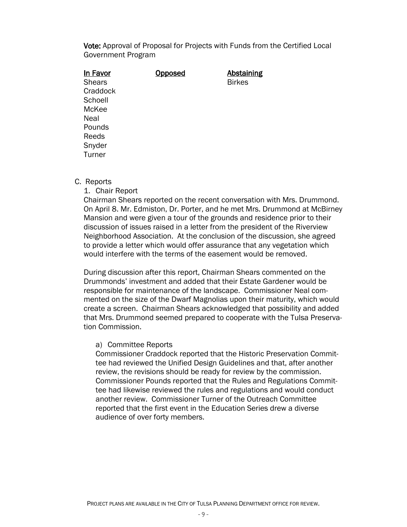Vote: Approval of Proposal for Projects with Funds from the Certified Local Government Program

| In Favor      | Opposed | <b>Abstaining</b> |
|---------------|---------|-------------------|
| <b>Shears</b> |         | <b>Birkes</b>     |
| Craddock      |         |                   |
| Schoell       |         |                   |
| McKee         |         |                   |
| Neal          |         |                   |
| Pounds        |         |                   |
| Reeds         |         |                   |
| Snyder        |         |                   |
| Turner        |         |                   |
|               |         |                   |

#### C. Reports

1. Chair Report

Chairman Shears reported on the recent conversation with Mrs. Drummond. On April 8. Mr. Edmiston, Dr. Porter, and he met Mrs. Drummond at McBirney Mansion and were given a tour of the grounds and residence prior to their discussion of issues raised in a letter from the president of the Riverview Neighborhood Association. At the conclusion of the discussion, she agreed to provide a letter which would offer assurance that any vegetation which would interfere with the terms of the easement would be removed.

During discussion after this report, Chairman Shears commented on the Drummonds' investment and added that their Estate Gardener would be responsible for maintenance of the landscape. Commissioner Neal commented on the size of the Dwarf Magnolias upon their maturity, which would create a screen. Chairman Shears acknowledged that possibility and added that Mrs. Drummond seemed prepared to cooperate with the Tulsa Preservation Commission.

#### a) Committee Reports

Commissioner Craddock reported that the Historic Preservation Committee had reviewed the Unified Design Guidelines and that, after another review, the revisions should be ready for review by the commission. Commissioner Pounds reported that the Rules and Regulations Committee had likewise reviewed the rules and regulations and would conduct another review. Commissioner Turner of the Outreach Committee reported that the first event in the Education Series drew a diverse audience of over forty members.